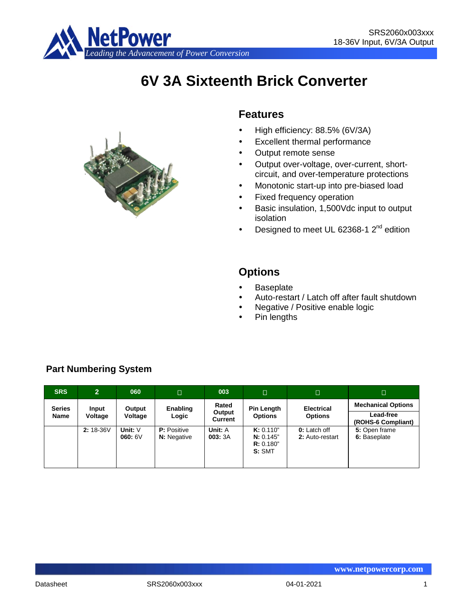

# **6V 3A Sixteenth Brick Converter**



# **Features**

- High efficiency: 88.5% (6V/3A)
- Excellent thermal performance
- Output remote sense
- Output over-voltage, over-current, shortcircuit, and over-temperature protections
- Monotonic start-up into pre-biased load
- Fixed frequency operation
- Basic insulation, 1,500Vdc input to output isolation
- **Designed to meet UL 62368-1**  $2^{nd}$  **edition**

# **Options**

- **Baseplate**
- Auto-restart / Latch off after fault shutdown
- Negative / Positive enable logic
- Pin lengths

| <b>SRS</b>    | $\overline{2}$ | 060                 | $\Box$                                   | 003               | $\Box$                                        | $\Box$                                 | $\Box$                          |
|---------------|----------------|---------------------|------------------------------------------|-------------------|-----------------------------------------------|----------------------------------------|---------------------------------|
| <b>Series</b> | Input          | Output              | Enabling                                 | Rated             | Pin Length                                    | <b>Electrical</b>                      | <b>Mechanical Options</b>       |
| Name          | Voltage        | Voltage             | Logic                                    | Output<br>Current | <b>Options</b>                                | <b>Options</b>                         | Lead-free<br>(ROHS-6 Compliant) |
|               | $2:18-36V$     | Unit: $V$<br>060:6V | <b>P:</b> Positive<br><b>N:</b> Negative | Unit: A<br>003:3A | K: 0.110"<br>N: 0.145"<br>R: 0.180"<br>S: SMT | <b>0:</b> Latch off<br>2: Auto-restart | 5: Open frame<br>6: Baseplate   |

# **Part Numbering System**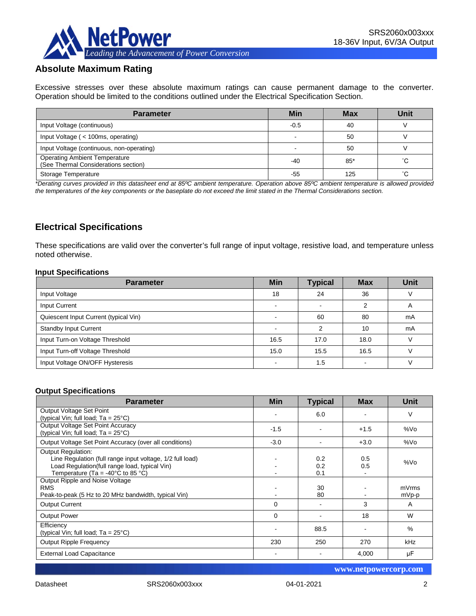

# **Absolute Maximum Rating**

Excessive stresses over these absolute maximum ratings can cause permanent damage to the converter. Operation should be limited to the conditions outlined under the Electrical Specification Section.

| <b>Parameter</b>                                                             | Min    | <b>Max</b> | Unit |
|------------------------------------------------------------------------------|--------|------------|------|
| Input Voltage (continuous)                                                   | $-0.5$ | 40         |      |
| Input Voltage (< 100ms, operating)                                           |        | 50         |      |
| Input Voltage (continuous, non-operating)                                    |        | 50         |      |
| <b>Operating Ambient Temperature</b><br>(See Thermal Considerations section) | $-40$  | $85*$      | °С   |
| Storage Temperature                                                          | -55    | 125        | °С   |

*\*Derating curves provided in this datasheet end at 85ºC ambient temperature. Operation above 85ºC ambient temperature is allowed provided the temperatures of the key components or the baseplate do not exceed the limit stated in the Thermal Considerations section.*

# **Electrical Specifications**

These specifications are valid over the converter's full range of input voltage, resistive load, and temperature unless noted otherwise.

#### **Input Specifications**

| <b>Parameter</b>                      | <b>Min</b>               | <b>Typical</b> | <b>Max</b> | <b>Unit</b> |
|---------------------------------------|--------------------------|----------------|------------|-------------|
| Input Voltage                         | 18                       | 24             | 36         |             |
| Input Current                         | $\overline{\phantom{0}}$ | -              | 2          | A           |
| Quiescent Input Current (typical Vin) |                          | 60             | 80         | mA          |
| <b>Standby Input Current</b>          |                          | ⌒              | 10         | mA          |
| Input Turn-on Voltage Threshold       | 16.5                     | 17.0           | 18.0       |             |
| Input Turn-off Voltage Threshold      | 15.0                     | 15.5           | 16.5       |             |
| Input Voltage ON/OFF Hysteresis       |                          | 1.5            |            |             |

#### **Output Specifications**

| <b>Parameter</b>                                                                                                                                                                                  | <b>Min</b> | <b>Typical</b>    | <b>Max</b> | <b>Unit</b>    |
|---------------------------------------------------------------------------------------------------------------------------------------------------------------------------------------------------|------------|-------------------|------------|----------------|
| Output Voltage Set Point<br>(typical Vin; full load; $Ta = 25^{\circ}C$ )                                                                                                                         |            | 6.0               |            | V              |
| Output Voltage Set Point Accuracy<br>(typical Vin; full load; $Ta = 25^{\circ}C$ )                                                                                                                | $-1.5$     |                   | $+1.5$     | %Vo            |
| Output Voltage Set Point Accuracy (over all conditions)                                                                                                                                           | $-3.0$     |                   | $+3.0$     | %Vo            |
| <b>Output Regulation:</b><br>Line Regulation (full range input voltage, 1/2 full load)<br>Load Regulation(full range load, typical Vin)<br>Temperature (Ta = -40 $^{\circ}$ C to 85 $^{\circ}$ C) |            | 0.2<br>0.2<br>0.1 | 0.5<br>0.5 | %Vo            |
| Output Ripple and Noise Voltage<br><b>RMS</b><br>Peak-to-peak (5 Hz to 20 MHz bandwidth, typical Vin)                                                                                             |            | 30<br>80          |            | mVrms<br>mVp-p |
| <b>Output Current</b>                                                                                                                                                                             | 0          |                   | 3          | A              |
| <b>Output Power</b>                                                                                                                                                                               | 0          |                   | 18         | W              |
| Efficiency<br>(typical Vin; full load; $Ta = 25^{\circ}C$ )                                                                                                                                       |            | 88.5              |            | $\%$           |
| <b>Output Ripple Frequency</b>                                                                                                                                                                    | 230        | 250               | 270        | kHz            |
| <b>External Load Capacitance</b>                                                                                                                                                                  |            |                   | 4,000      | μF             |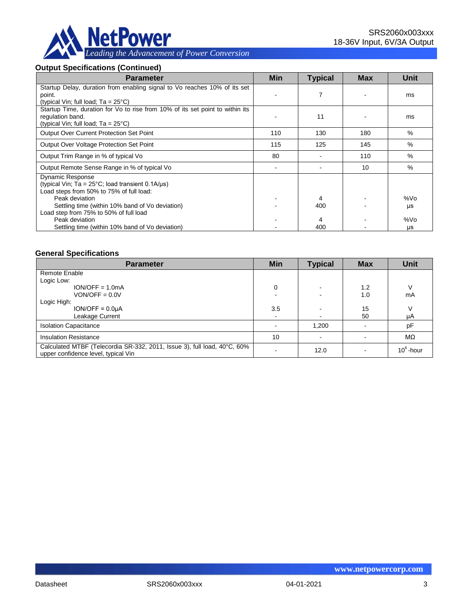

# **Output Specifications (Continued)**

| <b>Parameter</b>                                                                                                                                           | <b>Min</b> | <b>Typical</b> | <b>Max</b> | <b>Unit</b>   |
|------------------------------------------------------------------------------------------------------------------------------------------------------------|------------|----------------|------------|---------------|
| Startup Delay, duration from enabling signal to Vo reaches 10% of its set<br>point.<br>(typical Vin; full load; $Ta = 25^{\circ}C$ )                       |            | 7              |            | ms            |
| Startup Time, duration for Vo to rise from 10% of its set point to within its<br>regulation band.<br>(typical Vin; full load; $Ta = 25^{\circ}C$ )         |            | 11             |            | ms            |
| <b>Output Over Current Protection Set Point</b>                                                                                                            | 110        | 130            | 180        | $\frac{0}{0}$ |
| Output Over Voltage Protection Set Point                                                                                                                   | 115        | 125            | 145        | $\%$          |
| Output Trim Range in % of typical Vo                                                                                                                       | 80         |                | 110        | %             |
| Output Remote Sense Range in % of typical Vo                                                                                                               |            |                | 10         | %             |
| <b>Dynamic Response</b><br>(typical Vin; $Ta = 25^{\circ}C$ ; load transient 0.1A/ $\mu s$ )<br>Load steps from 50% to 75% of full load:<br>Peak deviation |            | 4              |            | %Vo           |
| Settling time (within 10% band of Vo deviation)<br>Load step from 75% to 50% of full load                                                                  |            | 400            |            | μs            |
| Peak deviation<br>Settling time (within 10% band of Vo deviation)                                                                                          |            | 400            |            | %Vo<br>μs     |

#### **General Specifications**

| <b>Parameter</b>                                                                                                | <b>Min</b> | <b>Typical</b>           | <b>Max</b> | Unit         |
|-----------------------------------------------------------------------------------------------------------------|------------|--------------------------|------------|--------------|
| Remote Enable                                                                                                   |            |                          |            |              |
| Logic Low:                                                                                                      |            |                          |            |              |
| $ION/OFF = 1.0mA$                                                                                               | 0          | -                        | 1.2        | V            |
| $VON/OFF = 0.0V$                                                                                                |            |                          | 1.0        | mA           |
| Logic High:                                                                                                     |            |                          |            |              |
| $ION/OFF = 0.0µA$                                                                                               | 3.5        |                          | 15         | V            |
| Leakage Current                                                                                                 |            | $\overline{\phantom{a}}$ | 50         | μA           |
| <b>Isolation Capacitance</b>                                                                                    |            | 1.200                    |            | pF           |
| <b>Insulation Resistance</b>                                                                                    | 10         |                          |            | MΩ           |
| Calculated MTBF (Telecordia SR-332, 2011, Issue 3), full load, 40°C, 60%<br>upper confidence level, typical Vin |            | 12.0                     |            | $10^6$ -hour |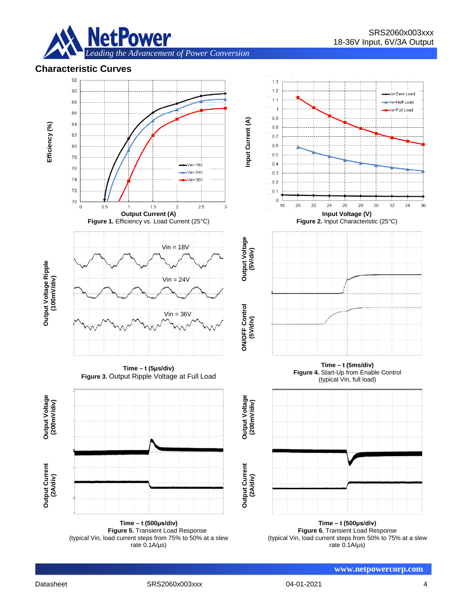

# **Characteristic Curves**



**Time – t (500μs/div) Figure 5.** Transient Load Response (typical Vin, load current steps from 75% to 50% at a slew rate 0.1A/µs)

**Time – t (500μs/div) Figure 6.** Transient Load Response (typical Vin, load current steps from 50% to 75% at a slew rate 0.1A/µs)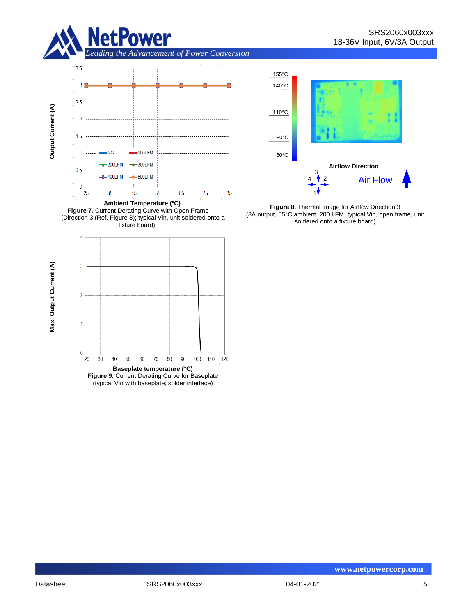







**Figure 9.** Current Derating Curve for Baseplate (typical Vin with baseplate; solder interface)



**Figure 8.** Thermal Image for Airflow Direction 3 (3A output, 55°C ambient, 200 LFM, typical Vin, open frame, unit soldered onto a fixture board)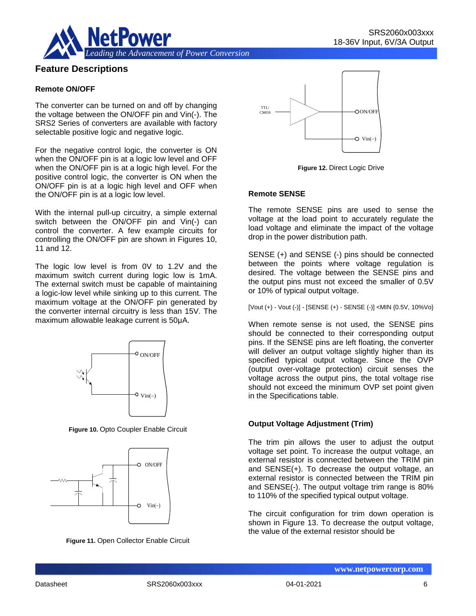

# **Feature Descriptions**

#### **Remote ON/OFF**

The converter can be turned on and off by changing the voltage between the ON/OFF pin and Vin(-). The SRS2 Series of converters are available with factory selectable positive logic and negative logic.

For the negative control logic, the converter is ON when the ON/OFF pin is at a logic low level and OFF when the ON/OFF pin is at a logic high level. For the positive control logic, the converter is ON when the ON/OFF pin is at a logic high level and OFF when the ON/OFF pin is at a logic low level.

With the internal pull-up circuitry, a simple external switch between the ON/OFF pin and Vin(-) can control the converter. A few example circuits for controlling the ON/OFF pin are shown in Figures 10, 11 and 12.

The logic low level is from 0V to 1.2V and the maximum switch current during logic low is 1mA. The external switch must be capable of maintaining a logic-low level while sinking up to this current. The maximum voltage at the ON/OFF pin generated by the converter internal circuitry is less than 15V. The maximum allowable leakage current is 50μA.



**Figure 10.** Opto Coupler Enable Circuit







**Figure 12.** Direct Logic Drive

#### **Remote SENSE**

The remote SENSE pins are used to sense the voltage at the load point to accurately regulate the load voltage and eliminate the impact of the voltage drop in the power distribution path.

SENSE (+) and SENSE (-) pins should be connected between the points where voltage regulation is desired. The voltage between the SENSE pins and the output pins must not exceed the smaller of 0.5V or 10% of typical output voltage.

#### [Vout (+) - Vout (-)] - [SENSE (+) - SENSE (-)] <MIN {0.5V, 10%Vo}

When remote sense is not used, the SENSE pins should be connected to their corresponding output pins. If the SENSE pins are left floating, the converter will deliver an output voltage slightly higher than its specified typical output voltage. Since the OVP (output over-voltage protection) circuit senses the voltage across the output pins, the total voltage rise should not exceed the minimum OVP set point given in the Specifications table.

#### **Output Voltage Adjustment (Trim)**

The trim pin allows the user to adjust the output voltage set point. To increase the output voltage, an external resistor is connected between the TRIM pin and SENSE(+). To decrease the output voltage, an external resistor is connected between the TRIM pin and SENSE(-). The output voltage trim range is 80% to 110% of the specified typical output voltage.

The circuit configuration for trim down operation is shown in Figure 13. To decrease the output voltage, the value of the external resistor should be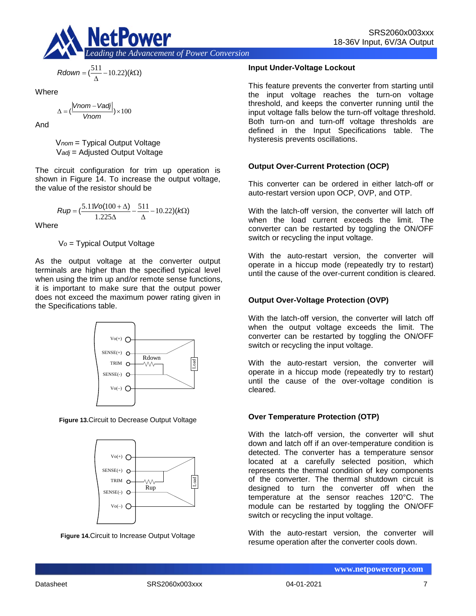

$$
Rdown = (\frac{511}{\Delta} - 10.22)(k\Omega)
$$

Where

$$
\Delta = \left(\frac{|Vnom - Vadj|}{Vnom}\right) \times 100
$$

And

V*nom* = Typical Output Voltage V*adj* = Adjusted Output Voltage

The circuit configuration for trim up operation is shown in Figure 14. To increase the output voltage, the value of the resistor should be

$$
Rup = \left(\frac{5.11\text{Vol}(100 + \Delta)}{1.225\Delta} - \frac{511}{\Delta} - 10.22\right)(k\Omega)
$$

**Where** 

V*o* = Typical Output Voltage

As the output voltage at the converter output terminals are higher than the specified typical level when using the trim up and/or remote sense functions, it is important to make sure that the output power does not exceed the maximum power rating given in the Specifications table.



**Figure 13.**Circuit to Decrease Output Voltage



**Figure 14.**Circuit to Increase Output Voltage

### **Input Under-Voltage Lockout**

This feature prevents the converter from starting until the input voltage reaches the turn-on voltage threshold, and keeps the converter running until the input voltage falls below the turn-off voltage threshold. Both turn-on and turn-off voltage thresholds are defined in the Input Specifications table. The hysteresis prevents oscillations.

# **Output Over-Current Protection (OCP)**

This converter can be ordered in either latch-off or auto-restart version upon OCP, OVP, and OTP.

With the latch-off version, the converter will latch off when the load current exceeds the limit. The converter can be restarted by toggling the ON/OFF switch or recycling the input voltage.

With the auto-restart version, the converter will operate in a hiccup mode (repeatedly try to restart) until the cause of the over-current condition is cleared.

# **Output Over-Voltage Protection (OVP)**

With the latch-off version, the converter will latch off when the output voltage exceeds the limit. The converter can be restarted by toggling the ON/OFF switch or recycling the input voltage.

With the auto-restart version, the converter will operate in a hiccup mode (repeatedly try to restart) until the cause of the over-voltage condition is cleared.

# **Over Temperature Protection (OTP)**

With the latch-off version, the converter will shut down and latch off if an over-temperature condition is detected. The converter has a temperature sensor located at a carefully selected position, which represents the thermal condition of key components of the converter. The thermal shutdown circuit is designed to turn the converter off when the temperature at the sensor reaches 120°C. The module can be restarted by toggling the ON/OFF switch or recycling the input voltage.

With the auto-restart version, the converter will resume operation after the converter cools down.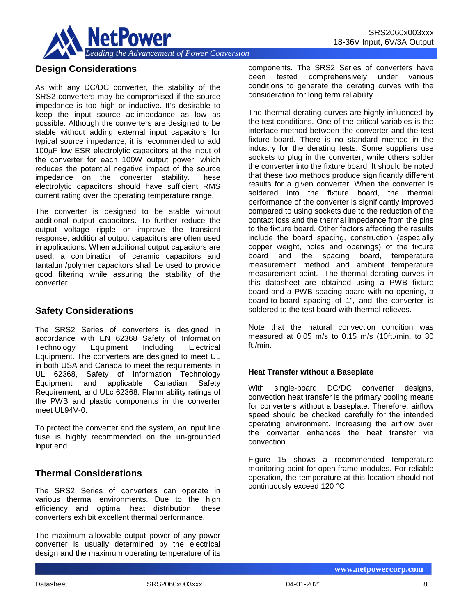

# **Design Considerations**

As with any DC/DC converter, the stability of the SRS2 converters may be compromised if the source impedance is too high or inductive. It's desirable to keep the input source ac-impedance as low as possible. Although the converters are designed to be stable without adding external input capacitors for typical source impedance, it is recommended to add 100µF low ESR electrolytic capacitors at the input of the converter for each 100W output power, which reduces the potential negative impact of the source impedance on the converter stability. These electrolytic capacitors should have sufficient RMS current rating over the operating temperature range.

The converter is designed to be stable without additional output capacitors. To further reduce the output voltage ripple or improve the transient response, additional output capacitors are often used in applications. When additional output capacitors are used, a combination of ceramic capacitors and tantalum/polymer capacitors shall be used to provide good filtering while assuring the stability of the converter.

# **Safety Considerations**

The SRS2 Series of converters is designed in accordance with EN 62368 Safety of Information Technology Equipment Including Electrical Equipment. The converters are designed to meet UL in both USA and Canada to meet the requirements in UL 62368, Safety of Information Technology Equipment and applicable Canadian Safety Requirement, and ULc 62368. Flammability ratings of the PWB and plastic components in the converter meet UL94V-0.

To protect the converter and the system, an input line fuse is highly recommended on the un-grounded input end.

# **Thermal Considerations**

The SRS2 Series of converters can operate in various thermal environments. Due to the high efficiency and optimal heat distribution, these converters exhibit excellent thermal performance.

The maximum allowable output power of any power converter is usually determined by the electrical design and the maximum operating temperature of its

components. The SRS2 Series of converters have<br>been tested comprehensively under various tested comprehensively under various conditions to generate the derating curves with the consideration for long term reliability.

The thermal derating curves are highly influenced by the test conditions. One of the critical variables is the interface method between the converter and the test fixture board. There is no standard method in the industry for the derating tests. Some suppliers use sockets to plug in the converter, while others solder the converter into the fixture board. It should be noted that these two methods produce significantly different results for a given converter. When the converter is soldered into the fixture board, the thermal performance of the converter is significantly improved compared to using sockets due to the reduction of the contact loss and the thermal impedance from the pins to the fixture board. Other factors affecting the results include the board spacing, construction (especially copper weight, holes and openings) of the fixture board and the spacing board, temperature measurement method and ambient temperature measurement point. The thermal derating curves in this datasheet are obtained using a PWB fixture board and a PWB spacing board with no opening, a board-to-board spacing of 1", and the converter is soldered to the test board with thermal relieves.

Note that the natural convection condition was measured at 0.05 m/s to 0.15 m/s (10ft./min. to 30 ft./min.

#### **Heat Transfer without a Baseplate**

With single-board DC/DC converter designs, convection heat transfer is the primary cooling means for converters without a baseplate. Therefore, airflow speed should be checked carefully for the intended operating environment. Increasing the airflow over the converter enhances the heat transfer via convection.

Figure 15 shows a recommended temperature monitoring point for open frame modules. For reliable operation, the temperature at this location should not continuously exceed 120 °C.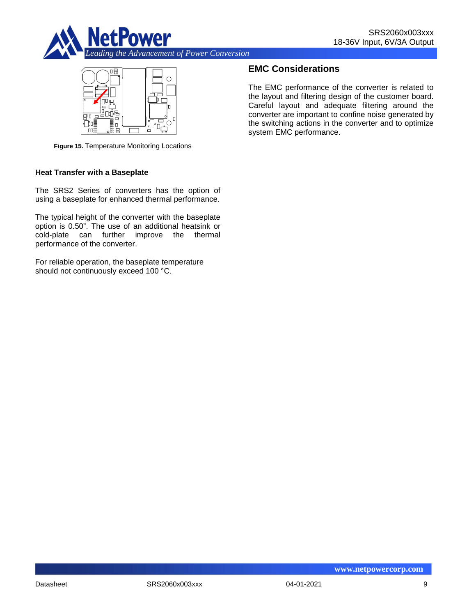



**Figure 15.** Temperature Monitoring Locations

#### **Heat Transfer with a Baseplate**

The SRS2 Series of converters has the option of using a baseplate for enhanced thermal performance.

The typical height of the converter with the baseplate option is 0.50". The use of an additional heatsink or cold-plate can further improve the thermal performance of the converter.

For reliable operation, the baseplate temperature should not continuously exceed 100 °C.

# **EMC Considerations**

The EMC performance of the converter is related to the layout and filtering design of the customer board. Careful layout and adequate filtering around the converter are important to confine noise generated by the switching actions in the converter and to optimize system EMC performance.